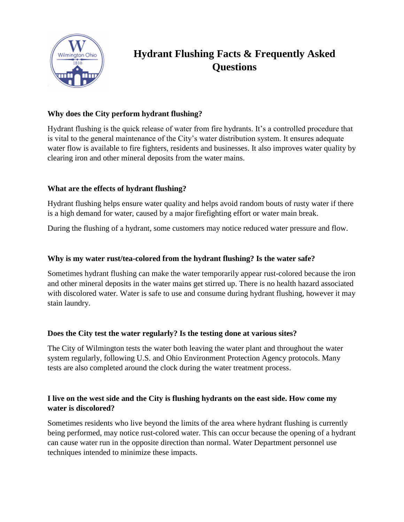

# **Hydrant Flushing Facts & Frequently Asked Questions**

# **Why does the City perform hydrant flushing?**

Hydrant flushing is the quick release of water from fire hydrants. It's a controlled procedure that is vital to the general maintenance of the City's water distribution system. It ensures adequate water flow is available to fire fighters, residents and businesses. It also improves water quality by clearing iron and other mineral deposits from the water mains.

## **What are the effects of hydrant flushing?**

Hydrant flushing helps ensure water quality and helps avoid random bouts of rusty water if there is a high demand for water, caused by a major firefighting effort or water main break.

During the flushing of a hydrant, some customers may notice reduced water pressure and flow.

## **Why is my water rust/tea-colored from the hydrant flushing? Is the water safe?**

Sometimes hydrant flushing can make the water temporarily appear rust-colored because the iron and other mineral deposits in the water mains get stirred up. There is no health hazard associated with discolored water. Water is safe to use and consume during hydrant flushing, however it may stain laundry.

## **Does the City test the water regularly? Is the testing done at various sites?**

The City of Wilmington tests the water both leaving the water plant and throughout the water system regularly, following U.S. and Ohio Environment Protection Agency protocols. Many tests are also completed around the clock during the water treatment process.

# **I live on the west side and the City is flushing hydrants on the east side. How come my water is discolored?**

Sometimes residents who live beyond the limits of the area where hydrant flushing is currently being performed, may notice rust-colored water. This can occur because the opening of a hydrant can cause water run in the opposite direction than normal. Water Department personnel use techniques intended to minimize these impacts.